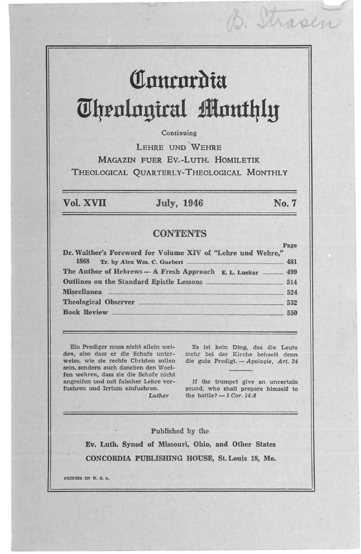# **Comrordia Theological Monthly**

#### Continuing

LEHRE UND WEHRE MAGAZIN FUER EV.-LuTH. HOMILETIK THEOLOGICAL QUARTERLY-THEOLOGICAL MONTHLY

#### Vol. XVII July, 1946 No.7

D. Shaper

### **CONTENTS**

| Dr. Walther's Foreword for Volume XIV of "Lehre und Wehre,"                                                                                                                                                                          | Page |
|--------------------------------------------------------------------------------------------------------------------------------------------------------------------------------------------------------------------------------------|------|
|                                                                                                                                                                                                                                      |      |
| The Author of Hebrews - A Fresh Approach E. L. Lueker - 499                                                                                                                                                                          |      |
|                                                                                                                                                                                                                                      |      |
| Miscellanea <b>contract and a material contract of the set of the set of the set of the set of the set of the set of the set of the set of the set of the set of the set of the set of the set of the set of the set of the set </b> | 524  |
|                                                                                                                                                                                                                                      | 532  |
| <b>Book Review Expansion Review</b><br>550                                                                                                                                                                                           |      |

Ein Predlger muss nicht allein weiweise, wic sie rechte Christen sollen sein, sondern auch daneben den Woelfen *wehren,* dass sie die Schafe nicht angreifen und mit falscher Lehre verfuehren und Irrtum einfuehren.

*den,* also dass er die Schafe unter-mehr bei der Kirche behaelt denn Es ist kein Ding, das die Leute die gute Predigt. - Apologie, Art. 24

> If the trumpet give an uncertain sound, who shall prepare himself to the battle?  $-1$  Cor. 14:8

#### Published by the

*Luther* 

Ev. Luth. Synod of Missouri, Ohio, and Other States CONCORDIA PUBLISmNG HOUSE, St. Louis 18, Mo.

PRINTED IN U.S.A. **International Contract Contract Contract Contract Contract Contract Contract Contract Contract Contract Contract Contract Contract Contract Contract Contract Contract Contract Contract Contract Contract**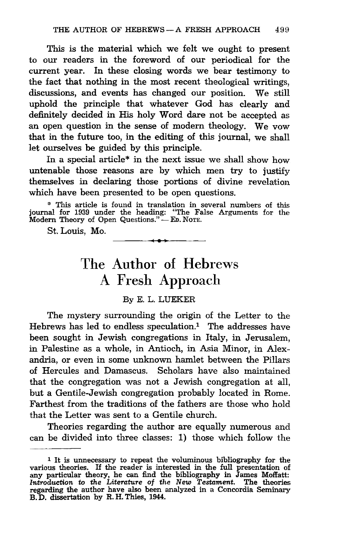This is the material which we felt we ought to present to our readers in the foreword of our periodical for the current year. In these closing words we bear testimony to the fact that nothing in the most recent theological writings, discussions, and events has changed our position. We still uphold the principle that whatever God has clearly and definitely decided in His holy Word dare not be accepted as an open question in the sense of modern theology. We vow that in the future too, in the editing of this journal, we shall let ourselves be guided by this principle.

In a special article\* in the next issue we shall show how untenable those reasons are by which men try to justify themselves in declaring those portions of divine revelation which have been presented to be open questions.

'" This article is found in translation in several numbers of this journal for 1939 under the heading: "The False Arguments for the Modern Theory of Open Questions." - ED. NOTE.<br>
St. Louis, Mo.

## The Author of Hebrews A Fresh Approach

#### By E. L. LUEKER

The mystery surrounding the origin of the Letter to the Hebrews has led to endless speculation.<sup>1</sup> The addresses have been sought in Jewish congregations in Italy, in Jerusalem, in Palestine as a whole, in Antioch, in Asia Minor, in Alexandria, or even in some unknown hamlet between the Pillars of Hercules and Damascus. Scholars have also maintained that the congregation was not a Jewish congregation at all, but a Gentile-Jewish congregation probably located in Rome. Farthest from the traditions of the fathers are those who hold that the Letter was sent to a Gentile church.

Theories regarding the author are equally numerous and can be divided into three classes: 1) those which follow the

<sup>1</sup> It is unnecessary to repeat the voluminous bibliography for the various theories. If the reader is interested in the full presentation of any particular theory, he can find the bibliography in James Moffatt: Introduction to the Literature of the New Testament. The theories regarding th B. D. dissertation by R. H. Thies, 1944.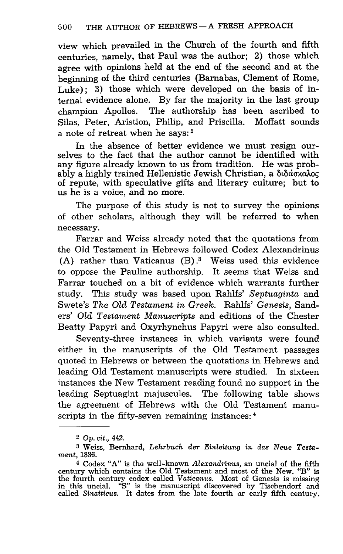view which prevailed in the Church of the fourth and fifth centuries, namely, that Paul was the author; 2) those which agree with opinions held at the end of the second and at the beginning of the third centuries (Barnabas, Clement of Rome, Luke): 3) those which were developed on the basis of internal evidence alone. By far the majority in the last group champion Apollos. The authorship has been ascribed to Silas, Peter, Aristion, Philip, and Priscilla. Moffatt sounds a note of retreat when he says: 2

In the absence of better evidence we must resign ourselves to the fact that the author cannot be identified with any figure already known to us from tradition. He was probably a highly trained Hellenistic Jewish Christian, a  $\delta\iota\delta\iota\sigma\iota\iota\iota\iota\sigma\iota$ of repute, with speculative gifts and literary culture; but to us he is a voice, and no more.

The purpose of this study is not to survey the opinions of other scholars, although they will be referred to when necessary.

Farrar and Weiss already noted that the quotations from the Old Testament in Hebrews followed Codex Alexandrinus (A) rather than Vaticanus  $(B)$ .<sup>3</sup> Weiss used this evidence to oppose the Pauline authorship. It seems that Weiss and Farrar touched on a bit of evidence which warrants further study. This study was based upon Rahlfs' *Septuaginta* and Swete's *The Old Testament in Greek.* Rahlfs' *Genesis,* Sanders' *Old Testament Manuscripts* and editions of the Chester Beatty Papyri and Oxyrhynchus Papyri were also consulted.

Seventy-three instances in which variants were found either in the manuscripts of the Old Testament passages quoted in Hebrews or between the quotations in Hebrews and leading Old Testament manuscripts were studied. In sixteen instances the New Testament reading found no support in the leading Septuagint majuscules. The following table shows the agreement of Hebrews with the Old Testament manuscripts in the fifty-seven remaining instances: 4

<sup>2</sup>*Op. cit., 442.* 

<sup>3</sup> Weiss, Bernhard, *Lehrbuch der Einleitung in das Neue Testament,* 1886.

<sup>4</sup> Codex "A" is the well-known *Alexandrinus,* an uncial of the fifth century which contains the Old Testament and most of the New. "B" is the fourth century codex called *Vaticanus.* Most of Genesis is missing in this uncial. "S" is the manuscript discovered by Tischendorf and called *Sinaiticus.* It dates from the late fourth or early fifth century.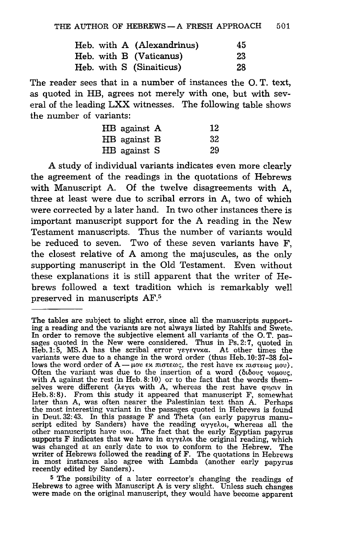|  | Heb. with A (Alexandrinus) | 45 |
|--|----------------------------|----|
|  | Heb. with B (Vaticanus)    | 23 |
|  | Heb. with S (Sinaiticus)   | 28 |

The reader sees that in a number of instances the O. T. text, as quoted in HB, agrees not merely with one, but with several of the leading LXX witnesses. The following table shows the number of variants:

| HB against A | 12 |
|--------------|----|
| HB against B | 32 |
| HB against S | 29 |

A study of individual variants indicates even more clearly the agreement of the readings in the quotations of Hebrews with Manuscript A. Of the twelve disagreements with A, three at least were due to scribal errors in A, two of which were corrected by a later hand. In two other instances there is important manuscript support for the A reading in the New Testament manuscripts. Thus the number of variants would be reduced to seven. Two of these seven variants have F, the closest relative of A among the majuscules, as the only supporting manuscript in the Old Testament. Even without these explanations it is still apparent that the writer of Hebrews followed a text tradition which is remarkably well preserved in manuscripts AF.5

5 The possibility of a later corrector's changing the readings of Hebrews to agree with Manuscript A is very slight. Unless such changes were made on the original manuscript, they would have become apparent

The tables are subject to slight error, since all the manuscripts supporting a reading and the variants are not always listed by Rahlfs and Swete. In order to remove the subjective element all variants of the O. T. passages quoted in the New were considered. Thus in Ps. 2:7, quoted in Heb. 1:5, MS. A has the scribal error  $\gamma \epsilon \gamma \epsilon \nu \nu \nu \alpha$ . At other times the variants were due to a change in the word order (thus Heb.l0:37-38 follows the word order of  $A - \mu$ ov  $\epsilon x$  moteos, the rest have  $\epsilon x$  moteos  $\mu$ ov). Often the variant was due to the insertion of a word ( $\delta\iota\delta ovg$  voucous, with A against the rest in Heb. 8:10) or to the fact that the words themselves were different (λεγει with A, whereas the rest have φησιν in Heb. 8: 8). From this study it appeared that manuscript F, somewhat later than A, was often nearer the Palestinian text than A. Perhaps the most interesting variant in the passages quoted in Hebrews is found in Deut. 32: 43. In this passage F and Theta (an early papyrus manuscript edited by Sanders) have the reading  $\alpha\gamma\gamma\epsilon\lambda\omega$ , whereas all the other manuscripts have  $\alpha\omega$ . The fact that the early Egyptian papyrus supports F indicates that we have in  $\alpha\gamma\gamma\epsilon\lambda\omega$  the original reading, which was changed at an early date to  $\nu\omega$  to conform to the Hebrew. The writer of Hebrews followed the reading of F. The quotations in Hebrews in most instances also agree with Lambda (another early papyrus recently edited by Sanders).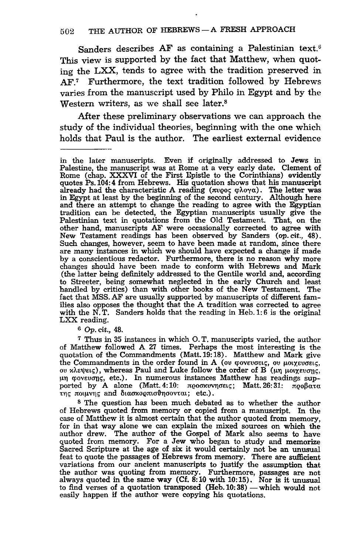Sanders describes  $AF$  as containing a Palestinian text.<sup>6</sup> This view is supported by the fact that Matthew, when quoting the LXX, tends to agree with the tradition preserved in AF<sup>7</sup> Furthermore, the text tradition followed by Hebrews varies from the manuscript used by Philo in Egypt and by the Western writers, as we shall see later.<sup>8</sup>

After these preliminary observations we can approach the study of the individual theories, beginning with the one which holds that Paul is the author. The earliest external evidence

*6 Op.* cit., 48.

<sup>7</sup>Thus in 35 instances in which O. T. manuscripts varied, the author of Matthew followed A 27 times. Perhaps the most interesting is the quotation of the Commandments (Matt. 19: 18). Matthew and Mark give the Commandments in the order found in A (ou φονευσεις, ou μοιχευσεις, ou κλεψεις), whereas Paul and Luke follow the order of B (μη μοιχευσης, oυ κλεψεις), whereas Paul and Luke follow the order of B (μη μοιχευσης,  $\mu$ η φονευσης, etc.). In numerous instances Matthew has readings supported by A alone (Matt. 4:10:  $\pi$ 000xvvn $\sigma$ sic; Matt. 26: 31:  $\pi$ 00 $\beta$  $\alpha$ τ $\alpha$ της ποιμνης and διασκορπισθησονται; etc.).

8 The question has been much debated as to whether the author of Hebrews quoted from memory or copied from a manuscript. In the case ot Matthew it is almost certain that the author quoted from memory, for in that way alone we can explain the mixed sources on which the author drew. The author of the Gospel of Mark also seems to have quoted from memory. For a Jew who began to study and memorize Sacred Scripture at the age of six it would certainly not be an unusual feat to quote the passages of Hebrews from memory. There are sufficient variations from our ancient manuscripts to justify the assumption that the author was quoting from memory. Furthermore, passages are not always quoted in the same way (Cf. 8: 10 with 10: 15). Nor is it unusual to find verses of a quotation transposed (Heb. 10:38) - which would not easily happen if the author were copying his quotations.

in the later manuscripts. Even if originally addressed to Jews in Palestine, the manuscript was at Rome at a very early date. Clement of Rome (chap. XXXVI of the First Epistle to the Corinthians) evidently quotes Ps. 104: 4 from Hebrews. His quotation shows that his manuscript already had the characteristic A reading ( $\pi \nu \varphi \circ \varphi \wedge \varphi \gamma \varphi$ ). The letter was in Egypt at least by the beginning of the second century. Althou and there an attempt to change the reading to agree with the Egyptian tradition can be detected, the Egyptian manuscripts usually give the Palestinian text in quotations from the Old Testament. That, on the other hand, manuscripts AF were occasionally corrected to agree with New Testament readings has been observed by Sanders (op. cit., 48).<br>Such changes, however, seem to have been made at random, since there Such changes, however, seem to have been made at random, since there are many instances in which we should have expected a change if made by a conscientious redactor. Furthermore, there is no reason why more changes should have been made to conform with Hebrews and Mark (the latter being definitely addressed to the Gentile world and, according to Streeter, being somewhat neglected in the early Church and least handled by critics) than with other books of the New Testament. The fact that MSS. AF are usually supported by manuscripts of different families also opposes the thought that the A tradition was corrected to agree with the N.T. Sanders holds that the reading in Heb. 1:6 is the original LXX reading.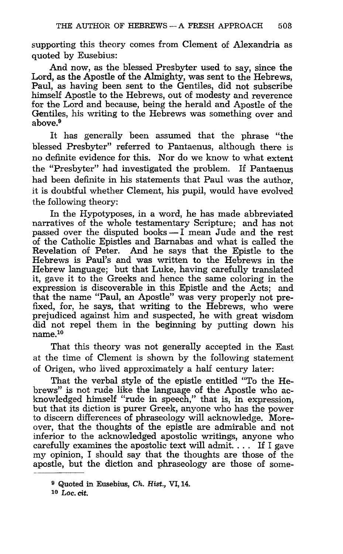supporting this theory comes from Clement of Alexandria as quoted by Eusebius:

And now, as the blessed Presbyter used to say, since the Lord, as the Apostle of the Almighty, was sent to the Hebrews, Paul, as having been sent to the Gentiles, did not subscribe himself Apostle to the Hebrews, out of modesty and reverence for the Lord and because, being the herald and Apostle of the Gentiles, his writing to the Hebrews was something over and above.9

It has generally been assumed that the phrase "the blessed Presbyter" referred to Pantaenus, although there is no definite evidence for this. Nor do we know to what extent the "Presbyter" had investigated the problem. If Pantaenus had been definite in his statements that Paul was the author. it is doubtful whether Clement, his pupil, would have evolved the following theory:

In the Hypotyposes, in a word, he has made abbreviated narratives of the whole testamentary Scripture; and has not passed over the disputed books  $-1$  mean Jude and the rest of the Catholic Epistles and Barnabas and what is called the Revelation of Peter. And he says that the Epistle to the Hebrews is Paul's and was written to the Hebrews in the Hebrew language; but that Luke, having carefully translated it, gave it to the Greeks and hence the same coloring in the expression is discoverable in this Epistle and the Acts; and that the name "Paul, an Apostle" was very properly not prefixed, for, he says, that writing to the Hebrews, who were prejudiced against him and suspected, he with great wisdom did not repel them in the beginning by putting down his name.10

That this theory was not generally accepted in the East at the time of Clement is shown by the following statement of Origen, who lived approximately a half century later:

That the verbal style of the epistle entitled "To the Hebrews" is not rude like the language of the Apostle who acknowledged himself "rude in speech," that is, in expression, but that its diction is purer Greek, anyone who has the power to discern differences of phraseology will acknowledge. Moreover, that the thoughts of the epistle are admirable and not inferior to the acknowledged apostolic writings, anyone who carefully examines the apostolic text will admit. . .. If I gave my opinion, I should say that the thoughts are those of the apostle, but the diction and phraseology are those of some-

<sup>9</sup> Quoted in Eusebius, *Ch. Hist.,* VI,14. 10 Lac.cit.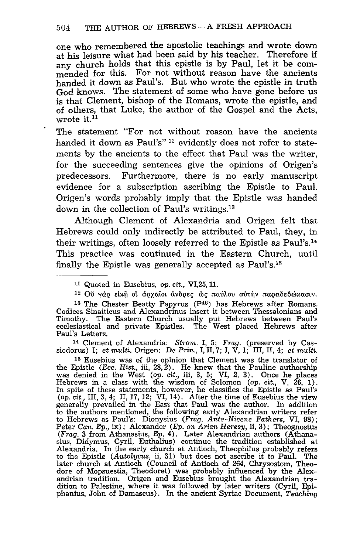one who remembered the apostolic teachings and wrote down at his leisure what had been said by his teacher. Therefore if any church holds that this epistle is by Paul, let it be commended for this. For not without reason have the ancients handed it down as Paul's. But who wrote the epistle in truth God knows. The statement of some who have gone before us is that Clement, bishop of the Romans, wrote the epistle, and of others, that Luke, the author of the Gospel and the Acts, wrote it.<sup>11</sup>

The statement "For not without reason have the ancients handed it down as Paul's"<sup>12</sup> evidently does not refer to statements by the ancients to the effect that Paul was the writer, for the succeeding sentences give the opinions of Origen's predecessors. Furthermore, there is no early manuscript evidence for a subscription ascribing the Epistle to Paul. Origen's words probably imply that the Epistle was handed down in the collection of Paul's writings.13

Although Clement of Alexandria and Origen felt that Hebrews could only indirectly be attributed to Paul, they, in their writings, often loosely referred to the Epistle as  $Paul's<sup>14</sup>$ . This practice was continued in the Eastern Church, until finally the Epistle was generally accepted as Paul's.15

 $12$  Oυ γάρ είκη οί άρχαιοι άνδρες ώς παύλου αύτην παραδεδώκασιν.

14 Clement of Alexandria: *Strom.* I, 5; *Frag.* (preserved by Cassiodorus) I; *et multi.* Origen: De *Prin.,* I, II, 7; I, V, 1; III, II, 4; *et multi.* 

<sup>15</sup> Eusebius was of the opinion that Clement was the translator of the Epistle *(Ecc. Hist., iii, 28, 2)*. He knew that the Pauline authorship was denied in the West *(op. cit., iii, 3, 5; VI, 2, 3)*. Once he places Hebrews in a class with the wisdom of Solomon (op. cit.,  $V$ ,  $26$ , 1).<br>In spite of these statements, however, he classifies the Epistle as Paul's (op. cit., III, 3, 4; II, 17, 12; VI, 14). After the time of Eusebius the generally prevailed in the East that Paul was the author. In addition to the authors mentioned, the following early Alexandrian writers refer to Hebrews as Paul's: Dionysius *(Frag. Ante-Nicene Fathers,* VI, 98); Peter *Can.* Ep., ix); Alexander (Ep. *on Arian Heresy,* ii, 3); Theognostus *(Frag.* 3 from Athanasius, Ep. 4). Later Alexandrian authors (Athanasius, Didymus, Cyril, Euthalius) continue the tradition established at Alexandria. In the early church at Antioch, Theophilus probably refers to the Epistle *(Autolycus,* ii, 31) but does not ascribe it to Paul. The later church at Antioch (Council of Antioch of 264, Chrysostom, Theodore of Mopsuestia, Theodoret) was probably influenced by the Alexandrian tradition. Origen and Eusebius brought the Alexandrian tra-dition to Palestine, where it was followed by later writers (Cyril, Epiphanius, John of Damascus). In the ancient Syriac Document, *Teaching* 

<sup>11</sup>Quoted in Eusebius, *op.* cit., VI,25, 11.

<sup>13</sup> The Chester Beatty Papyrus (P46) has Hebrews after Romans. Codices Sinaiticus and Alexandrinus insert it between Thessalonians and The Eastern Church usually put Hebrews between Paul's ecclesiastical and private Epistles. The West placed Hebrews after Paul's Letters.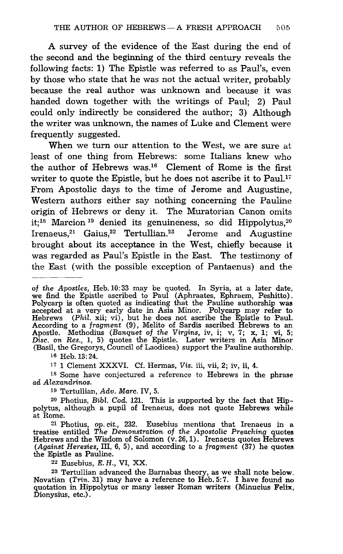A survey of the evidence of the East during the end of the second and the beginning of the third century reveals the following facts: 1) The Epistle was referred to as Paul's, even by those who state that he was not the actual writer, probably because the real author was unknown and because it was handed down together with the writings of Paul; 2) Paul could only indirectly be considered the author; 3) Although the writer was unknown, the names of Luke and Clement were frequently suggested.

When we turn our attention to the West, we are sure at least of one thing from Hebrews: some Italians knew who the author of Hebrews was.<sup>16</sup> Clement of Rome is the first writer to quote the Epistle, but he does not ascribe it to  $Paul.17$ From Apostolic days to the time of Jerome and Augustine, Western authors either say nothing concerning the Pauline origin of Hebrews or deny it. The Muratorian Canon omits it;<sup>18</sup> Marcion<sup>19</sup> denied its genuineness, so did Hippolytus.<sup>20</sup> Irenaeus,21 Gaius,22 Tertullian.23 Jerome and Augustine brought about its acceptance in the West, chiefly because it was regarded as Paul's Epistle in the East. The testimony of the East (with the possible exception of Pantaenus) and the

*of the Apostles,* Heb.10: 33 may be quoted. In Syria, at a later date, we find the Epistle ascribed to Paul (Aphraates, Ephraem, Peshitto). Polycarp is often quoted as indicating that the Pauline authorship was accepted at a very early date in Asia Minor. Polycarp may refer to Hebrews *(Phil.* xii; vi), but he does not ascribe the Epistle to Paul. According to a *fragment* (9), Melito of Sardis ascribed Hebrews to an Apostle. Methodius *(Banquet of* the *Virgins,* iv, i; v, 7; x, 1; vi, 5; Disc. on Res., 1, 5) quotes the Epistle. Later writers in Asia Minor (Basil, the Gregorys, Council of Laodicea) support the Pauline authorship.

16 Heb. 13: 24.

17 1 Clement XXXVI. Cf. Hermas, *Vis.* iii, vii, 2; iv, ii, 4.

18 Some have conjectured a reference to Hebrews in the phrase *ad Alexandrinos.* 

19 Tertullian, *Adv. Marc.* IV, 5.

20 Photius, Bibl. Cod. 121. This is supported by the fact that Hippolytus, although a pupil of Irenaeus, does not quote Hebrews while at Rome.

21 Photius, *op.* cit., 232. Eusebius mentions that Irenaeus in a treatise entitled *The Demonstration of the Apostolic Preaching* quotes Hebrews and the Wisdom of Solomon (v. 26, 1). Irenaeus quotes Hebrews *(Against Heresies,* III, 6, 5), and according to a *fragment* (37) he quotes the Epistle as Pauline.

22 Eusebius, E. H., VI, XX.

<sup>23</sup> Tertullian advanced the Barnabas theory, as we shall note below.<br>Novatian (*Trin.* 31) may have a reference to Heb. 5:7. I have found no quotation in Hippolytus or many lesser Roman writers (Minucius Felix, Dionysius, etc.).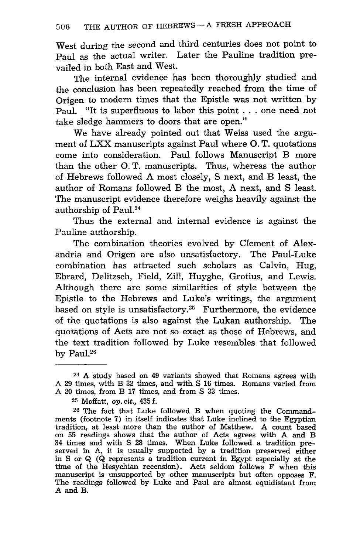West during the second and third centuries does not point to Paul as the actual writer. Later the Pauline tradition prevailed in both East and West.

The internal evidence has been thoroughly studied and the conclusion has been repeatedly reached from the time **of**  Origen to modern times that the Epistle was not written by Paul. "It is superfluous to labor this point ... one need not take sledge hammers to doors that are open."

We have already pointed out that Weiss used the argument of LXX manuscripts against Paul where O. T. quotations come into consideration. Paul follows Manuscript B more than the other O. T. manuscripts. Thus, whereas the author of Hebrews followed A most closely, S next, and B least, the author of Romans followed B the most, A next, and S least. The manuscript evidence therefore weighs heavily against the authorship of Paul.24

Thus the external and internal evidence is against the Pauline authorship.

The combination theories evolved by Clement of Alexandria and Origen are also unsatisfactory. The Paul-Luke combination has attracted such scholars as Calvin, Hug, Ebrard, Delitzsch, Field, Zill, Huyghe, Grotius, and Lewis. Although there are some similarities of style between the Epistle to the Hebrews and Luke's writings, the argument based on style is unsatisfactory.25 Furthermore, the evidence of the quotations is also against the Lukan authorship. The quotations of Acts are not so exact as those of Hebrews, and the text tradition followed by Luke resembles that followed by Paul. $26$ 

<sup>24</sup> A study based on 49 variants showed that Romans agrees with A 29 times, with B 32 times, and with S 16 times. Romans varied from A 20 times, from B **17** times, and from S 33 times.

<sup>25</sup> Moffatt, op. cit., 435 f.

<sup>26</sup> The fact that Luke followed B when quoting the Commandments (footnote 7) in itself indicates that Luke inclined to the Egyptian tradition, at least more than the author of Matthew. A count based on 55 readings shows that the author of Acts agrees with A and B 34 times and with S 28 times. When Luke followed a tradition preserved in A, it is usually supported by a tradition preserved either in S or Q (Q represents a tradition current in Egypt especially at the time of the Hesychian recension). Acts seldom follows F when this manuscript is unsupported by other manuscripts but often opposes F. The readings followed by Luke and Paul are almost equidistant from A and B.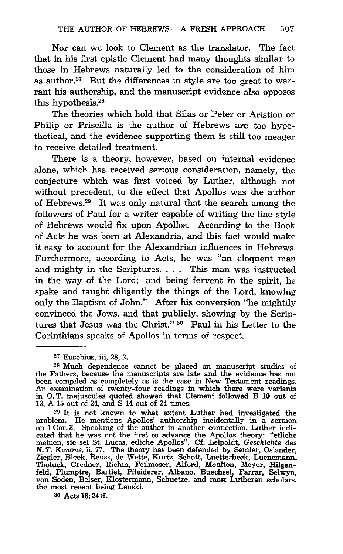Nor can we look to Clement as the translator. The fact that in his first epistle Clement had many thoughts similar to those in Hebrews naturally led to the consideration of him as author.<sup>27</sup> But the differences in style are too great to warrant his authorship, and the manuscript evidence also opposes this hypothesis.28

The theories which hold that Silas or Peter or Aristion or Philip or Priscilla is the author of Hebrews are too hypothetical, and the evidence supporting them is still too meager to receive detailed treatment.

There is a theory, however, based on internal evidence alone, which has received serious consideration, namely, the conjecture which was first voiced by Luther, although not without precedent, to the effect that Apollos was the author of Hebrews.29 It was only natural that the search among the followers of Paul for a writer capable of writing the fine style of Hebrews would fix upon Apollos. According to the Book of Acts he was born at Alexandria, and this fact would make it easy to account for the Alexandrian influences in Hebrews. Furthermore, according to Acts, he was "an eloquent man and mighty in the Scriptures. . .. This man was instructed in the way of the Lord; and being fervent in the spirit, he spake and taught diligently the things of the Lord, knowing only the Baptism of John." After his conversion "he mightily convinced the Jews, and that publicly, showing by the Scriptures that Jesus was the Christ." 30 Paul in his Letter to the Corinthians speaks of Apollos in terms of respect.

<sup>29</sup>It is not known to what extent Luther had investigated the problem. He mentions Apollos' authorship incidentally in a sermon on 1 Cor. 3. Speaking of the author in another connection, Luther indicated that he was not the first to advance the Apollos theory: "etiiche meinen, sie sei St. Lucas, etliche Apollos". Cf. Leipoldt, Gesc*hichte des*<br>N.*T. Kanons,* ii, 77. The theory has been defended by Semler, Osiander,<br>Ziegler, Bleek, Reuss, de Wette, Kurtz, Schott, Luetterbeck, Luenemann, Tholuck, Credner, Riehm, Feilmoser, Alford, Moulton, Meyer, Hilgenfeld, Plumptre, Bartlet, Pfleiderer, Albano, Buechsel, Farrar, Selwyn, von Soden, Belser, Klostermann, Schuetze, and most Lutheran scholars, the most recent being Lenski.

so Acts 18: 24 if.

<sup>27</sup> Eusebius, iii, 28, 2.

<sup>28</sup> Much dependence cannot be placed on manuscript studies of the Fathers, because the manuscripts are late and the evidence has not been compiled as completely as is the case in New Testament readings. An examination of twenty-four readings in which there were variants in O. T. majuscules quoted showed that Clement followed B 10 out of 13, A 15 out of 24, and S 14 out of 24 times.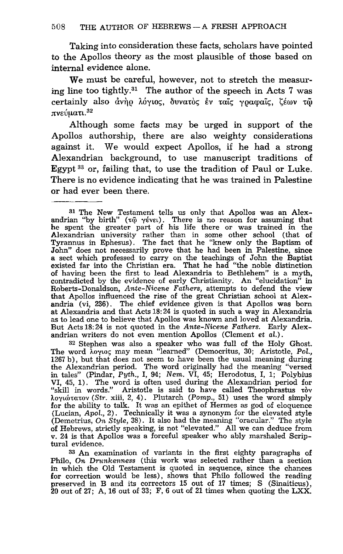Taking into consideration these facts, scholars have pointed to the Apollos theory as the most plausible of those based on internal evidence alone.

We must be careful, however, not to stretch the measuring line too tightly.31 The author of the speech in Acts 7 was certainly also άνηρ λόγιος, δυνατός έν ταις γραφαις, ζέων τω πνεύματι.<sup>32</sup>

Although some facts may be urged in support of the Apollos authorship, there are also weighty considerations against it. We would expect Apollos, if he had a strong Alexandrian background, to use manuscript traditions of Egypt 33 or, failing that, to use the tradition of Paul or Luke. There is no evidence indicating that he was trained in Palestine or had ever been there.

32 Stephen was also a speaker who was full of the Holy Ghost. The word λογιος may mean "learned" (Democritus, 30; Aristotle, *Pol.*, 1267 b), but that does not seem to have been the usual meaning during the Alexandrian period. The word originally had the meaning "versed in tales" (Pindar, *Pyth.,* I, 94; *Nem.* VI, 45; Herodotus, I, 1; Po1ybius VI, 45, 1). The word is often used during the Alexandrian period for "skill in words." Aristotle is said to have called Theophrastus tov λογιώτατον *(Str. xiii, 2, 4)*. Plutarch *(Pomp., 51)* uses the word simply for the ability to talk. It was an epithet of Hermes as god of eloquence (Lucian, *Apol.,* 2). Technically it was a synonym for the elevated style (Demetrius, *On Style,* 38). It also had the meaning "oracular." The style of Hebrews, strictly speaking, is not "elevated." All we can deduce from v. 24 is that Apollos was a forceful speaker who ably marshaled Scriptural evidence.

33 An examination of variants in the first eighty paragraphs of Philo, *On Drunkenness* (this work was selected rather than a section in which the Old Testament is quoted in sequence, since the chances for correction would be less), shows that Philo followed the reading preserved in B and its correctors 15 out of 17 times; S (Sinaiticus), 20 out of 27; A, 16 out of 33; F, 6 out of 21 times when quoting the LXX.

<sup>31</sup> The New Testament tells us only that Apollos was an Alexandrian "by birth"  $(\tau\tilde{\omega} \gamma \acute{\epsilon}$ vel). There is no reason for assuming that he spent the greater part of his life there or was trained in the Alexandrian university rather than in some other school (that of Tyrannus in Ephesus). The fact that he "knew only the Baptism of John" does not necessarily prove that he had been in Palestine, since a sect which professed to carry on the teachings of John the Baptist existed far into the Christian era. That he had "the noble distinction of having been the first to lead Alexandria to Bethlehem" is a myth, contradicted by the evidence of early Christianity. An "elucidation" in Roberts-Donaldson, *Ante-Nicene Fathers,* attempts to defend the view that Apollos influenced the rise of the great Christian school at Alexandria (vi, 236). The chief evidence given is that Apollos was born as to lead one to believe that Apollos was known and loved at Alexandria. But Acts 18: 24 is not quoted in the *Ante-Nicene Fathers.* Early Alexandrian writers do not even mention Apollos (Clement et *al.).*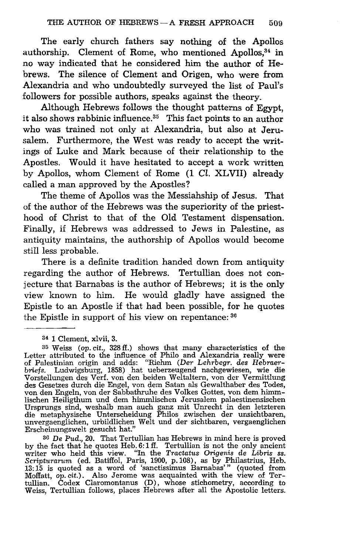The early church fathers say nothing of the Apollos authorship. Clement of Rome, who mentioned Apollos,<sup>34</sup> in no way indicated that he considered him the author of Hebrews. The silence of Clement and Origen, who were from Alexandria and who undoubtedly surveyed the list of Paul's followers for possible authors, speaks against the theory.

Although Hebrews follows the thought patterns of Egypt, it also shows rabbinic influence. $35$  This fact points to an author who was trained not only at Alexandria, but also at Jerusalem. Furthermore, the West was ready to accept the writings of Luke and Mark because of their relationship to the Apostles. Would it have hesitated to accept a work written by Apollos, whom Clement of Rome (1 *Cl.* XLVII) already called a man approved by the Apostles?

The theme of Apollos was the Messiahship of Jesus. That of the author of the Hebrews was the superiority of the priesthood of Christ to that of the Old Testament dispensation. Finally, if Hebrews was addressed to Jews in Palestine, as antiquity maintains, the authorship of Apollos would become still less probable.

There is a definite tradition handed down from antiquity regarding the author of Hebrews. Tertullian does not conjecture that Barnabas is the author of Hebrews; it is the only view known to him. He would gladly have assigned the Epistle to an Apostle if that had been possible, for he quotes the Epistle in support of his view on repentance: 36

36 De Pud., 20. That Tertullian has Hebrews in mind here is proved by the fact that he quotes Heb. 6: 1 ff. Tertullian is not the only ancient writer who held this view. "In the *Tractatus Origenis* de Libris *S8. Scripturarum* (ed. Batiffol, Paris, 1900, p. 108), as by Philastrius, Heb.  $13:15$  is quoted as a word of 'sanctissimus Barnabas'" (quoted from Moffatt,  $op. cit.$ ). Also Jerome was acquainted with the view of Tertullian. Codex Claromontanus (D), whose stichometry, according to Weiss, Tertullian fol

<sup>34</sup>1 Clement, xlvii, 3.

<sup>35</sup> Weiss (op. cit., 328 ff.) shows that many characteristics of the Letter attributed to the influence of Philo and Alexandria really were of Palestinian origin and adds: "Riehm *(Der Lehrbegr. des Hebrae7' briefs.* Ludwigsburg, 1858) hat ueberzeugend nachgewiesen, wie die Vorstellungen des Verf. von den beiden Weltaltern, von der Vermittlung des Gesetzes durch die Engel, von dem Satan als Gewalthaber des Todes, von den Engeln, von der Sabbathruhe des Volkes Gottes, von dem himmlischen Heiligthum und dem himmlischen Jerusalem palaestinensischen Ursprungs sind, weshalb man auch ganz mit Unrecht in den letzteren die metaphysische Unterscheidung Philos zwischen der unsichtbaren, unvergaengIichen, urbildIichen Welt und der sichtbaren, vergaenglichen Erscheinungswelt gesucht hat."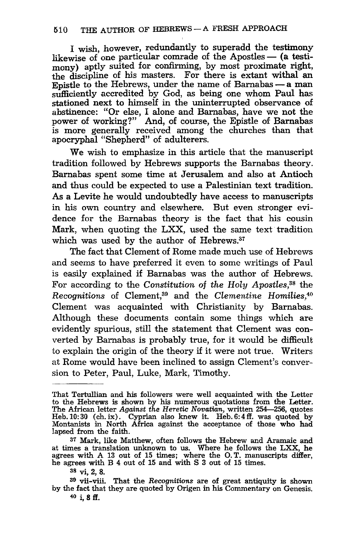I wish, however, redundantly to superadd the testimony likewise of one particular comrade of the Apostles  $-$  (a testimony) aptly suited for confirming, by most proximate right, the discipline of his masters. For there is extant withal an Epistle to the Hebrews, under the name of Barnabas  $-$  a man sufficiently accredited by God, as being one whom Paul has stationed next to himself in the uninterrupted observance of abstinence: "Or else, I alone and Barnabas, have we not the power of working?" And, of course, the Epistle of Barnabas is more generally received among the churches than that apocryphal "Shepherd" of adulterers.

We wish to emphasize in this article that the manuscript tradition followed by Hebrews supports the Barnabas theory. Barnabas spent some time at Jerusalem and also at Antioch and thus could be expected to use a Palestinian text tradition. As a Levite he would undoubtedly have access to manuscripts in his own country and elsewhere. But even stronger evidence for the Barnabas theory is the fact that his cousin Mark, when quoting the LXX, used the same text tradition which was used by the author of Hebrews.<sup>37</sup>

The fact that Clement of Rome made much use of Hebrews and seems to have preferred it even to some writings of Paul is easily explained if Barnabas was the author of Hebrews. For according to the *Constitution* of the Holy Apostles,<sup>38</sup> the *Recognitions* of Clement,89 and the *Clementine Homilies,4°*  Clement was acquainted with Christianity by Barnabas. Although these documents contain some things which are evidently spurious, still the statement that Clement was converted by Barnabas is probably true, for it would be difficult to explain the origin of the theory if it were not true. Writers at Rome would have been inclined to assign Clement's conversion to Peter, Paul, Luke, Mark, Timothy.

That Tertullian and his followers were well acquainted with the Letter to the Hebrews is shown by his numerous quotations from the Letter. The African letter *Against the Heretic Novatian,* written 254-256, quotes Heb. 10: 30 (ch. ix) . Cyprian also knew it. Heb. 6: 4 ff. was quoted by Montanists in North Africa against the acceptance of those who had lapsed from the faith.

<sup>37</sup> Mark, like Matthew, often follows the Hebrew and Aramaic and at times a translation unknown to us. Where he follows the LXX, he agrees with A 13 out of 15 times; where the o. T. manuscripts differ, he agrees with B 4 out of 15 and with S 3 out of 15 times.

<sup>38</sup> vi, 2, 8.

<sup>39</sup> vii-viii. That the *Recognitions* are of great antiquity is shown by the fact that they are quoted by Origen in his Commentary on Genesis.  $40$  i,  $8$  ff.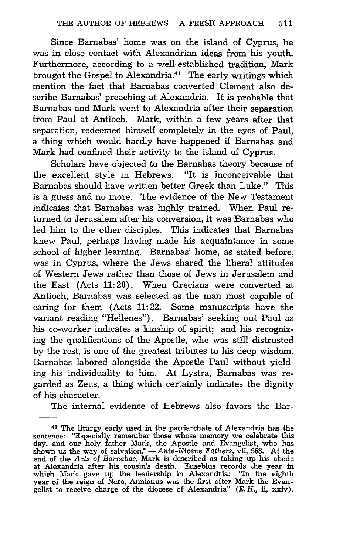Since Barnabas' home was on the island of Cyprus, he was in close contact with Alexandrian ideas from his youth. Furthermore, according to a well-established tradition, Mark brought the Gospel to Alexandria.41 The early writings which mention the fact that Barnabas converted Clement also describe Barnabas' preaching at Alexandria. It is probable that Barnabas and Mark went to Alexandria after their separation from Paul at Antioch. Mark, within a few years after that separation, redeemed himself completely in the eyes of Paul, a thing which would hardly have happened if Barnabas and Mark had confined their activity to the island of Cyprus.

Scholars have objected to the Barnabas theory because of the excellent style in Hebrews. "It is inconceivable that Barnabas should have written better Greek than Luke." This is a guess and no more. The evidence of the New Testament indicates that Barnabas was highly trained. When Paul returned to Jerusalem after his conversion, it was Barnabas who led him to the other disciples. This indicates that Barnabas knew Paul, perhaps having made his acquaintance in some school of higher learning. Barnabas' home, as stated before, was in Cyprus, where the Jews shared the liberal attitudes of Western Jews rather than those of Jews in Jerusalem and the East (Acts 11: 20). When Grecians were converted at Antioch, Barnabas was selected as the man most capable of caring for them (Acts 11: 22. Some manuscripts have the variant reading "Hellenes"). Barnabas' seeking out Paul as his co-worker indicates a kinship of spirit; and his recognizing the qualifications of the Apostle, who was still distrusted by the rest, is one of the greatest tributes to his deep wisdom. Barnabas labored alongside the Apostle Paul without yielding his individuality to him. At Lystra, Barnabas was regarded as Zeus, a thing which certainly indicates the dignity of his character.

The internal evidence of Hebrews also favors the Bar-

<sup>41</sup> The liturgy early used in the patriarchate of Alexandria has the sentence: "Especially remember those whose memory we celebrate this day, and our holy father Mark, the Apostle and Evangelist, who has shown us the way of salvation." - *Ante-Nicene Fathers,* vii, 568. At the end of the *Acts* of *Barnabas,* Mark is described as taking up his abode at Alexandria after his cousin's death. Eusebius records the year in which Mark gave up the leadership in Alexandria: "In the eighth year of the reign of Nero, Annianus was the first after Mark the Evangelist to receive charge of the diocese of Alexandria"  $(E, H, \text{ii}, \text{xxiv})$ .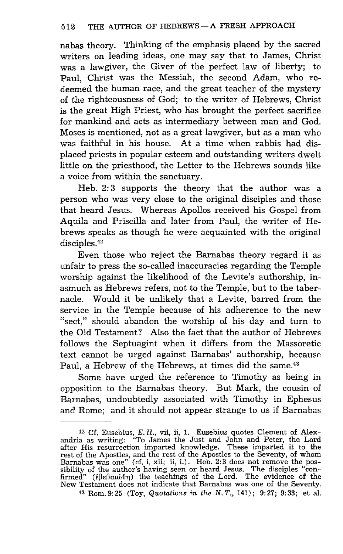nabas theory. Thinking of the emphasis placed by the sacred writers on leading ideas, one may say that to James, Christ was a lawgiver, the Giver of the perfect law of liberty; to Paul, Christ was the Messiah, the second Adam, who redeemed the human race, and the great teacher of the mystery of the righteousness of God; to the writer of Hebrews, Christ is the great High Priest, who has brought the perfect sacrifice for mankind and acts as intermediary between man and God. Moses is mentioned, not as a great lawgiver, but as a man who was faithful in his house. At a time when rabbis had displaced priests in popular esteem and outstanding writers dwelt little on the priesthood, the Letter to the Hebrews sounds like a voice from within the sanctuary.

Heb. 2: 3 supports the theory that the author was a person who was very close to the original disciples and those that heard Jesus. Whereas Apollos received his Gospel from Aquila and Priscilla and later from Paul, the writer of Hebrews speaks as though he were acquainted with the original disciples.<sup>42</sup>

Even those who reject the Barnabas theory regard it as unfair to press the so-called inaccuracies regarding the Temple worship against the likelihood of the Levite's authorship, inasmuch as Hebrews refers, not to the Temple, but to the tabernacle. Would it be unlikely that a Levite, barred from the service in the Temple because of his adherence to the new "sect," should abandon the worship of his day and turn to the Old Testament? Also the fact that the author of Hebrews follows the Septuagint when it differs from the Massoretic text cannot be urged against Barnabas' authorship, because Paul, a Hebrew of the Hebrews, at times did the same.<sup>43</sup>

Some have urged the reference to Timothy as being in opposition to the Barnabas theory. But Mark, the cousin of Barnabas, undoubtedly associated with Timothy in Ephesus and Rome; and it should not appear strange to us if Barnabas

43 Rom. 9:25 (Toy, *Quotations in the N.T.,* 141); 9:27; 9:33; et al.

<sup>42</sup> Cf. Eusebius, E. H., vii, ii, 1. Eusebius quotes Clement of Alex-andria as writing: "To James the Just and John and Peter, the Lord after His resurrection imparted knowledge. These imparted it to the rest of the Apostles, and the rest of the Apostles to the Seventy, of whom Barnabas was one" (cf. i, xii; ii, i.). Heb. 2:3 does not remove the possibility of the author's having seen or heard Jesus. The disciples "confirmed" ( $\hat{\epsilon} \beta \epsilon \beta \alpha \omega \hat{\sigma} \eta$ ) the teachings of the Lord. The evidence of the New Testament does not indicate that Barnabas was one of the Seventy.